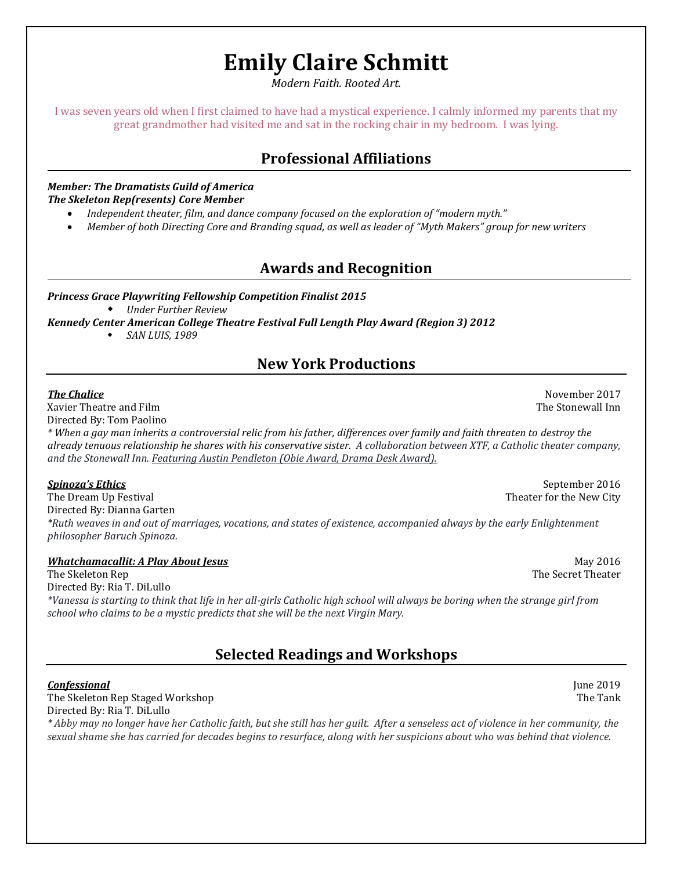# **Emily Claire Schmitt**

*Modern Faith. Rooted Art.*

I was seven years old when I first claimed to have had a mystical experience. I calmly informed my parents that my great grandmother had visited me and sat in the rocking chair in my bedroom. I was lying.

# **Professional Affiliations**

### *Member: The Dramatists Guild of America The Skeleton Rep(resents) Core Member*

- *Independent theater, film, and dance company focused on the exploration of "modern myth."*
- *Member of both Directing Core and Branding squad, as well as leader of "Myth Makers" group for new writers*

# **Awards and Recognition**

*Princess Grace Playwriting Fellowship Competition Finalist 2015 Under Further Review*

*Kennedy Center American College Theatre Festival Full Length Play Award (Region 3) 2012*

*SAN LUIS, 1989*

# **New York Productions**

Xavier Theatre and Film The Stonewall Inn Stonewall Inn Stonewall Inn Stonewall Inn Stonewall Inn Stonewall Inn

Directed By: Tom Paolino

*\* When a gay man inherits a controversial relic from his father, differences over family and faith threaten to destroy the already tenuous relationship he shares with his conservative sister. A collaboration between XTF, a Catholic theater company, and the Stonewall Inn. Featuring Austin Pendleton (Obie Award, Drama Desk Award).*

The Dream Up Festival Theorem 2012 is a strong of the New City Theater for the New City Directed By: Dianna Garten *\*Ruth weaves in and out of marriages, vocations, and states of existence, accompanied always by the early Enlightenment philosopher Baruch Spinoza.*

### *Whatchamacallit: A Play About Jesus* May 2016

The Skeleton Rep The Secret Theater is a statement of the Secret Theater in the Secret Theater is a statement of the Secret Theater is a statement of the Secret Theater is a statement of the Secret Theater is a statement o Directed By: Ria T. DiLullo *\*Vanessa is starting to think that life in her all-girls Catholic high school will always be boring when the strange girl from school who claims to be a mystic predicts that she will be the next Virgin Mary.*

**Selected Readings and Workshops**

### **Confessional** June 2019

The Skeleton Rep Staged Workshop The Tank Directed By: Ria T. DiLullo

*\* Abby may no longer have her Catholic faith, but she still has her guilt. After a senseless act of violence in her community, the sexual shame she has carried for decades begins to resurface, along with her suspicions about who was behind that violence.*

**Spinoza's Ethics September 2016 September 2016 September 2016** 

*The Chalice* November 2017